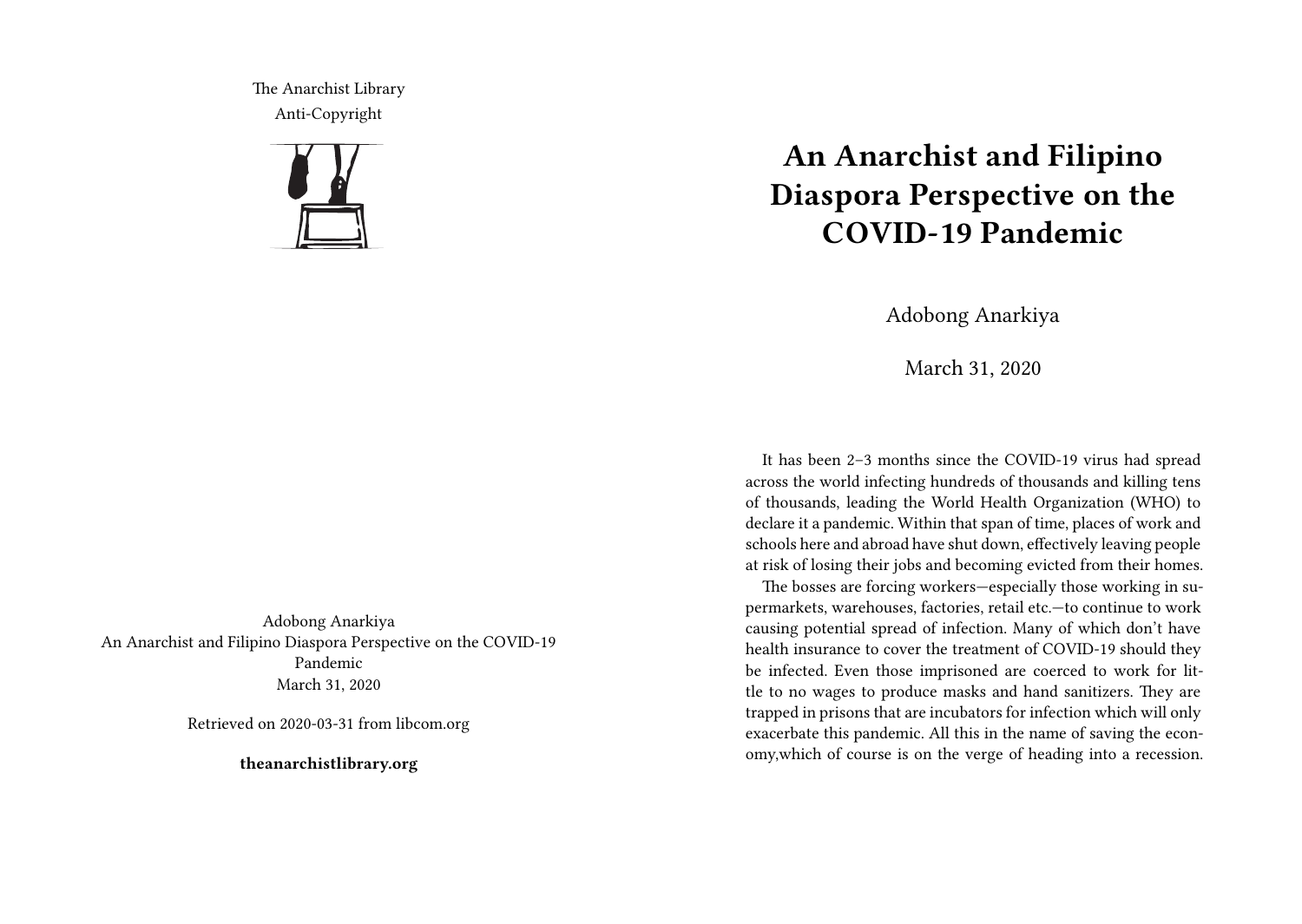The Anarchist Library Anti-Copyright



Adobong Anarkiya An Anarchist and Filipino Diaspora Perspective on the COVID-19 Pandemic March 31, 2020

Retrieved on 2020-03-31 from libcom.org

**theanarchistlibrary.org**

## **An Anarchist and Filipino Diaspora Perspective on the COVID-19 Pandemic**

Adobong Anarkiya

March 31, 2020

It has been 2–3 months since the COVID-19 virus had spread across the world infecting hundreds of thousands and killing tens of thousands, leading the World Health Organization (WHO) to declare it a pandemic. Within that span of time, places of work and schools here and abroad have shut down, effectively leaving people at risk of losing their jobs and becoming evicted from their homes.

The bosses are forcing workers—especially those working in supermarkets, warehouses, factories, retail etc.—to continue to work causing potential spread of infection. Many of which don't have health insurance to cover the treatment of COVID-19 should they be infected. Even those imprisoned are coerced to work for little to no wages to produce masks and hand sanitizers. They are trapped in prisons that are incubators for infection which will only exacerbate this pandemic. All this in the name of saving the economy,which of course is on the verge of heading into a recession.